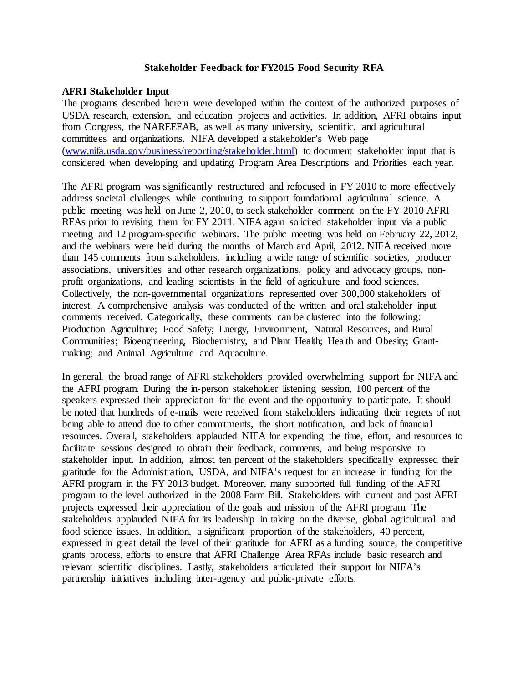## **Stakeholder Feedback for FY2015 Food Security RFA**

## **AFRI Stakeholder Input**

The programs described herein were developed within the context of the authorized purposes of USDA research, extension, and education projects and activities. In addition, AFRI obtains input from Congress, the NAREEEAB, as well as many university, scientific, and agricultural committees and organizations. NIFA developed a stakeholder's Web page [\(www.nifa.usda.gov/business/reporting/stakeholder.html\)](http://www.nifa.usda.gov/business/reporting/stakeholder.html) to document stakeholder input that is considered when developing and updating Program Area Descriptions and Priorities each year.

The AFRI program was significantly restructured and refocused in FY 2010 to more effectively address societal challenges while continuing to support foundational agricultural science. A public meeting was held on June 2, 2010, to seek stakeholder comment on the FY 2010 AFRI RFAs prior to revising them for FY 2011. NIFA again solicited stakeholder input via a public meeting and 12 program-specific webinars. The public meeting was held on February 22, 2012, and the webinars were held during the months of March and April, 2012. NIFA received more than 145 comments from stakeholders, including a wide range of scientific societies, producer associations, universities and other research organizations, policy and advocacy groups, nonprofit organizations, and leading scientists in the field of agriculture and food sciences. Collectively, the non-governmental organizations represented over 300,000 stakeholders of interest. A comprehensive analysis was conducted of the written and oral stakeholder input comments received. Categorically, these comments can be clustered into the following: Production Agriculture; Food Safety; Energy, Environment, Natural Resources, and Rural Communities; Bioengineering, Biochemistry, and Plant Health; Health and Obesity; Grantmaking; and Animal Agriculture and Aquaculture.

In general, the broad range of AFRI stakeholders provided overwhelming support for NIFA and the AFRI program. During the in-person stakeholder listening session, 100 percent of the speakers expressed their appreciation for the event and the opportunity to participate. It should be noted that hundreds of e-mails were received from stakeholders indicating their regrets of not being able to attend due to other commitments, the short notification, and lack of financial resources. Overall, stakeholders applauded NIFA for expending the time, effort, and resources to facilitate sessions designed to obtain their feedback, comments, and being responsive to stakeholder input. In addition, almost ten percent of the stakeholders specifically expressed their gratitude for the Administration, USDA, and NIFA's request for an increase in funding for the AFRI program in the FY 2013 budget. Moreover, many supported full funding of the AFRI program to the level authorized in the 2008 Farm Bill. Stakeholders with current and past AFRI projects expressed their appreciation of the goals and mission of the AFRI program. The stakeholders applauded NIFA for its leadership in taking on the diverse, global agricultural and food science issues. In addition, a significant proportion of the stakeholders, 40 percent, expressed in great detail the level of their gratitude for AFRI as a funding source, the competitive grants process, efforts to ensure that AFRI Challenge Area RFAs include basic research and relevant scientific disciplines. Lastly, stakeholders articulated their support for NIFA's partnership initiatives including inter-agency and public-private efforts.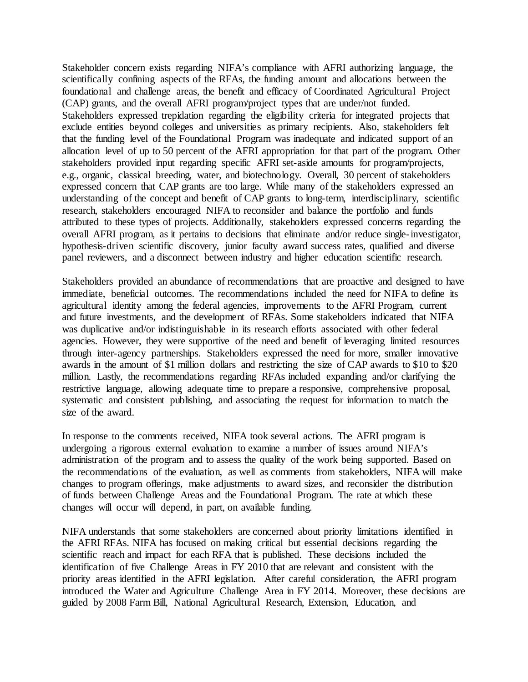Stakeholder concern exists regarding NIFA's compliance with AFRI authorizing language, the scientifically confining aspects of the RFAs, the funding amount and allocations between the foundational and challenge areas, the benefit and efficacy of Coordinated Agricultural Project (CAP) grants, and the overall AFRI program/project types that are under/not funded. Stakeholders expressed trepidation regarding the eligibility criteria for integrated projects that exclude entities beyond colleges and universities as primary recipients. Also, stakeholders felt that the funding level of the Foundational Program was inadequate and indicated support of an allocation level of up to 50 percent of the AFRI appropriation for that part of the program. Other stakeholders provided input regarding specific AFRI set-aside amounts for program/projects, e.g., organic, classical breeding, water, and biotechnology. Overall, 30 percent of stakeholders expressed concern that CAP grants are too large. While many of the stakeholders expressed an understanding of the concept and benefit of CAP grants to long-term, interdisciplinary, scientific research, stakeholders encouraged NIFA to reconsider and balance the portfolio and funds attributed to these types of projects. Additionally, stakeholders expressed concerns regarding the overall AFRI program, as it pertains to decisions that eliminate and/or reduce single-investigator, hypothesis-driven scientific discovery, junior faculty award success rates, qualified and diverse panel reviewers, and a disconnect between industry and higher education scientific research.

Stakeholders provided an abundance of recommendations that are proactive and designed to have immediate, beneficial outcomes. The recommendations included the need for NIFA to define its agricultural identity among the federal agencies, improvements to the AFRI Program, current and future investments, and the development of RFAs. Some stakeholders indicated that NIFA was duplicative and/or indistinguishable in its research efforts associated with other federal agencies. However, they were supportive of the need and benefit of leveraging limited resources through inter-agency partnerships. Stakeholders expressed the need for more, smaller innovative awards in the amount of \$1 million dollars and restricting the size of CAP awards to \$10 to \$20 million. Lastly, the recommendations regarding RFAs included expanding and/or clarifying the restrictive language, allowing adequate time to prepare a responsive, comprehensive proposal, systematic and consistent publishing, and associating the request for information to match the size of the award.

In response to the comments received, NIFA took several actions. The AFRI program is undergoing a rigorous external evaluation to examine a number of issues around NIFA's administration of the program and to assess the quality of the work being supported. Based on the recommendations of the evaluation, as well as comments from stakeholders, NIFA will make changes to program offerings, make adjustments to award sizes, and reconsider the distribution of funds between Challenge Areas and the Foundational Program. The rate at which these changes will occur will depend, in part, on available funding.

NIFA understands that some stakeholders are concerned about priority limitations identified in the AFRI RFAs. NIFA has focused on making critical but essential decisions regarding the scientific reach and impact for each RFA that is published. These decisions included the identification of five Challenge Areas in FY 2010 that are relevant and consistent with the priority areas identified in the AFRI legislation. After careful consideration, the AFRI program introduced the Water and Agriculture Challenge Area in FY 2014. Moreover, these decisions are guided by 2008 Farm Bill, National Agricultural Research, Extension, Education, and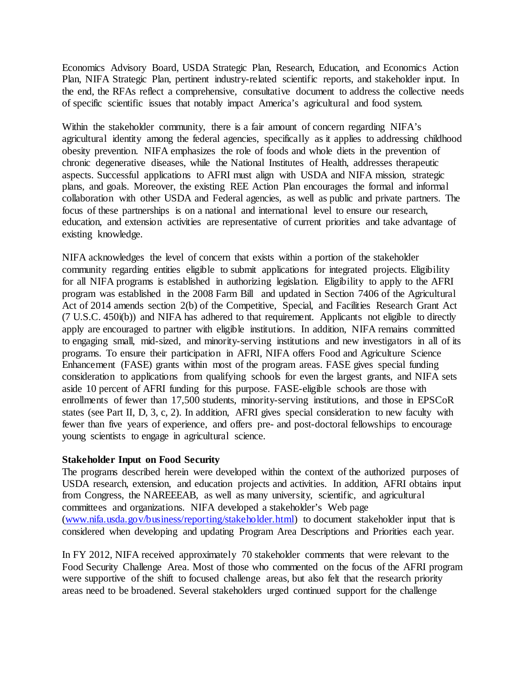Economics Advisory Board, USDA Strategic Plan, Research, Education, and Economics Action Plan, NIFA Strategic Plan, pertinent industry-related scientific reports, and stakeholder input. In the end, the RFAs reflect a comprehensive, consultative document to address the collective needs of specific scientific issues that notably impact America's agricultural and food system.

Within the stakeholder community, there is a fair amount of concern regarding NIFA's agricultural identity among the federal agencies, specifically as it applies to addressing childhood obesity prevention. NIFA emphasizes the role of foods and whole diets in the prevention of chronic degenerative diseases, while the National Institutes of Health, addresses therapeutic aspects. Successful applications to AFRI must align with USDA and NIFA mission, strategic plans, and goals. Moreover, the existing REE Action Plan encourages the formal and informal collaboration with other USDA and Federal agencies, as well as public and private partners. The focus of these partnerships is on a national and international level to ensure our research, education, and extension activities are representative of current priorities and take advantage of existing knowledge.

NIFA acknowledges the level of concern that exists within a portion of the stakeholder community regarding entities eligible to submit applications for integrated projects. Eligibility for all NIFA programs is established in authorizing legislation. Eligibility to apply to the AFRI program was established in the 2008 Farm Bill and updated in Section 7406 of the Agricultural Act of 2014 amends section 2(b) of the Competitive, Special, and Facilities Research Grant Act (7 U.S.C. 450i(b)) and NIFA has adhered to that requirement. Applicants not eligible to directly apply are encouraged to partner with eligible institutions. In addition, NIFA remains committed to engaging small, mid-sized, and minority-serving institutions and new investigators in all of its programs. To ensure their participation in AFRI, NIFA offers Food and Agriculture Science Enhancement (FASE) grants within most of the program areas. FASE gives special funding consideration to applications from qualifying schools for even the largest grants, and NIFA sets aside 10 percent of AFRI funding for this purpose. FASE-eligible schools are those with enrollments of fewer than 17,500 students, minority-serving institutions, and those in EPSCoR states (see Part II, D, 3, c, 2). In addition, AFRI gives special consideration to new faculty with fewer than five years of experience, and offers pre- and post-doctoral fellowships to encourage young scientists to engage in agricultural science.

## **Stakeholder Input on Food Security**

The programs described herein were developed within the context of the authorized purposes of USDA research, extension, and education projects and activities. In addition, AFRI obtains input from Congress, the NAREEEAB, as well as many university, scientific, and agricultural committees and organizations. NIFA developed a stakeholder's Web page [\(www.nifa.usda.gov/business/reporting/stakeholder.html\)](http://www.nifa.usda.gov/business/reporting/stakeholder.html) to document stakeholder input that is considered when developing and updating Program Area Descriptions and Priorities each year.

In FY 2012, NIFA received approximately 70 stakeholder comments that were relevant to the Food Security Challenge Area. Most of those who commented on the focus of the AFRI program were supportive of the shift to focused challenge areas, but also felt that the research priority areas need to be broadened. Several stakeholders urged continued support for the challenge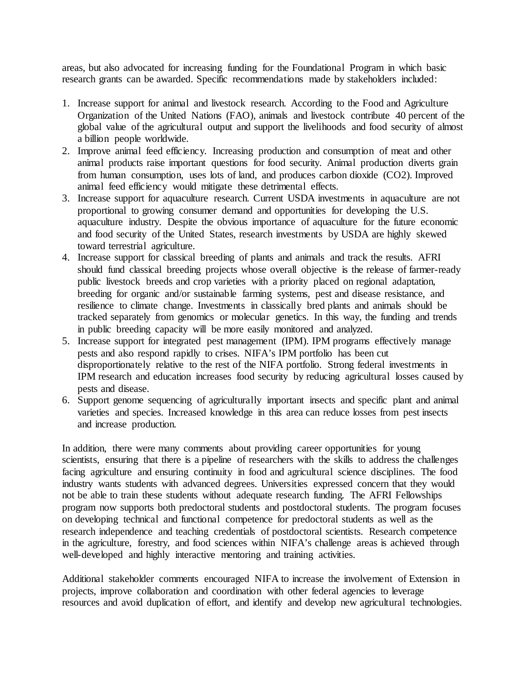areas, but also advocated for increasing funding for the Foundational Program in which basic research grants can be awarded. Specific recommendations made by stakeholders included:

- 1. Increase support for animal and livestock research. According to the Food and Agriculture Organization of the United Nations (FAO), animals and livestock contribute 40 percent of the global value of the agricultural output and support the livelihoods and food security of almost a billion people worldwide.
- 2. Improve animal feed efficiency. Increasing production and consumption of meat and other animal products raise important questions for food security. Animal production diverts grain from human consumption, uses lots of land, and produces carbon dioxide (CO2). Improved animal feed efficiency would mitigate these detrimental effects.
- 3. Increase support for aquaculture research. Current USDA investments in aquaculture are not proportional to growing consumer demand and opportunities for developing the U.S. aquaculture industry. Despite the obvious importance of aquaculture for the future economic and food security of the United States, research investments by USDA are highly skewed toward terrestrial agriculture.
- 4. Increase support for classical breeding of plants and animals and track the results. AFRI should fund classical breeding projects whose overall objective is the release of farmer-ready public livestock breeds and crop varieties with a priority placed on regional adaptation, breeding for organic and/or sustainable farming systems, pest and disease resistance, and resilience to climate change. Investments in classically bred plants and animals should be tracked separately from genomics or molecular genetics. In this way, the funding and trends in public breeding capacity will be more easily monitored and analyzed.
- 5. Increase support for integrated pest management (IPM). IPM programs effectively manage pests and also respond rapidly to crises. NIFA's IPM portfolio has been cut disproportionately relative to the rest of the NIFA portfolio. Strong federal investments in IPM research and education increases food security by reducing agricultural losses caused by pests and disease.
- 6. Support genome sequencing of agriculturally important insects and specific plant and animal varieties and species. Increased knowledge in this area can reduce losses from pest insects and increase production.

In addition, there were many comments about providing career opportunities for young scientists, ensuring that there is a pipeline of researchers with the skills to address the challenges facing agriculture and ensuring continuity in food and agricultural science disciplines. The food industry wants students with advanced degrees. Universities expressed concern that they would not be able to train these students without adequate research funding. The AFRI Fellowships program now supports both predoctoral students and postdoctoral students. The program focuses on developing technical and functional competence for predoctoral students as well as the research independence and teaching credentials of postdoctoral scientists. Research competence in the agriculture, forestry, and food sciences within NIFA's challenge areas is achieved through well-developed and highly interactive mentoring and training activities.

Additional stakeholder comments encouraged NIFA to increase the involvement of Extension in projects, improve collaboration and coordination with other federal agencies to leverage resources and avoid duplication of effort, and identify and develop new agricultural technologies.